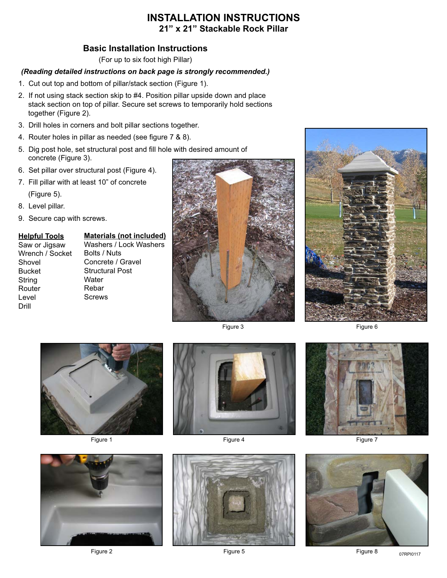## **INSTALLATION INSTRUCTIONS 21" x 21" Stackable Rock Pillar**

## **Basic Installation Instructions**

(For up to six foot high Pillar)

## *(Reading detailed instructions on back page is strongly recommended.)*

- 1. Cut out top and bottom of pillar/stack section (Figure 1).
- 2. If not using stack section skip to #4. Position pillar upside down and place stack section on top of pillar. Secure set screws to temporarily hold sections together (Figure 2).
- 3. Drill holes in corners and bolt pillar sections together.
- 4. Router holes in pillar as needed (see figure 7 & 8).
- 5. Dig post hole, set structural post and fill hole with desired amount of concrete (Figure 3).
- 6. Set pillar over structural post (Figure 4).
- 7. Fill pillar with at least 10" of concrete (Figure 5).
- 8. Level pillar.
- 9. Secure cap with screws.

#### **Helpful Tools**

Saw or Jigsaw Wrench / Socket Shovel Bucket String Router Level Drill

**Materials (not included)** Washers / Lock Washers Bolts / Nuts Concrete / Gravel Structural Post **Water** Rebar Screws



Figure 3



Figure 6



Figure 1





Figure 2



Figure 7



Figure 8